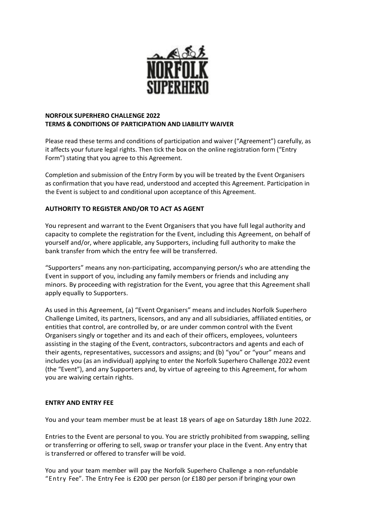

## **NORFOLK SUPERHERO CHALLENGE 2022 TERMS & CONDITIONS OF PARTICIPATION AND LIABILITY WAIVER**

Please read these terms and conditions of participation and waiver ("Agreement") carefully, as it affects your future legal rights. Then tick the box on the online registration form ("Entry Form") stating that you agree to this Agreement.

Completion and submission of the Entry Form by you will be treated by the Event Organisers as confirmation that you have read, understood and accepted this Agreement. Participation in the Event is subject to and conditional upon acceptance of this Agreement.

# **AUTHORITY TO REGISTER AND/OR TO ACT AS AGENT**

You represent and warrant to the Event Organisers that you have full legal authority and capacity to complete the registration for the Event, including this Agreement, on behalf of yourself and/or, where applicable, any Supporters, including full authority to make the bank transfer from which the entry fee will be transferred.

"Supporters" means any non-participating, accompanying person/s who are attending the Event in support of you, including any family members or friends and including any minors. By proceeding with registration for the Event, you agree that this Agreement shall apply equally to Supporters.

As used in this Agreement, (a) "Event Organisers" means and includes Norfolk Superhero Challenge Limited, its partners, licensors, and any and all subsidiaries, affiliated entities, or entities that control, are controlled by, or are under common control with the Event Organisers singly or together and its and each of their officers, employees, volunteers assisting in the staging of the Event, contractors, subcontractors and agents and each of their agents, representatives, successors and assigns; and (b) "you" or "your" means and includes you (as an individual) applying to enter the Norfolk Superhero Challenge 2022 event (the "Event"), and any Supporters and, by virtue of agreeing to this Agreement, for whom you are waiving certain rights.

### **ENTRY AND ENTRY FEE**

You and your team member must be at least 18 years of age on Saturday 18th June 2022.

Entries to the Event are personal to you. You are strictly prohibited from swapping, selling or transferring or offering to sell, swap or transfer your place in the Event. Any entry that is transferred or offered to transfer will be void. 

You and your team member will pay the Norfolk Superhero Challenge a non-refundable "Entry Fee". The Entry Fee is £200 per person (or £180 per person if bringing your own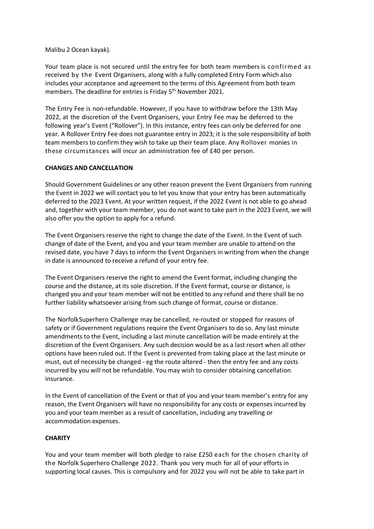Malibu 2 Ocean kayak).

Your team place is not secured until the entry fee for both team members is confirmed as received by the Event Organisers, along with a fully completed Entry Form which also includes your acceptance and agreement to the terms of this Agreement from both team members. The deadline for entries is Friday 5<sup>th</sup> November 2021.

The Entry Fee is non-refundable. However, if you have to withdraw before the 13th May 2022, at the discretion of the Event Organisers, your Entry Fee may be deferred to the following year's Event ("Rollover"). In this instance, entry fees can only be deferred for one year. A Rollover Entry Fee does not guarantee entry in 2023; it is the sole responsibility of both team members to confirm they wish to take up their team place. Any Rollover monies in these circumstances will incur an administration fee of £40 per person.

#### **CHANGES AND CANCELLATION**

Should Government Guidelines or any other reason prevent the Event Organisers from running the Event in 2022 we will contact you to let you know that your entry has been automatically deferred to the 2023 Event. At your written request, if the 2022 Event is not able to go ahead and, together with your team member, you do not want to take part in the 2023 Event, we will also offer you the option to apply for a refund.

The Event Organisers reserve the right to change the date of the Event. In the Event of such change of date of the Event, and you and your team member are unable to attend on the revised date, you have 7 days to inform the Event Organisers in writing from when the change in date is announced to receive a refund of your entry fee.

The Event Organisers reserve the right to amend the Event format, including changing the course and the distance, at its sole discretion. If the Event format, course or distance, is changed you and your team member will not be entitled to any refund and there shall be no further liability whatsoever arising from such change of format, course or distance.

The NorfolkSuperhero Challenge may be cancelled, re-routed or stopped for reasons of safety or if Government regulations require the Event Organisers to do so. Any last minute amendments to the Event, including a last minute cancellation will be made entirely at the discretion of the Event Organisers. Any such decision would be as a last resort when all other options have been ruled out. If the Event is prevented from taking place at the last minute or must, out of necessity be changed - eg the route altered - then the entry fee and any costs incurred by you will not be refundable. You may wish to consider obtaining cancellation insurance.

In the Event of cancellation of the Event or that of you and your team member's entry for any reason, the Event Organisers will have no responsibility for any costs or expenses incurred by you and your team member as a result of cancellation, including any travelling or accommodation expenses.

### **CHARITY**

You and your team member will both pledge to raise £250 each for the chosen charity of the Norfolk Superhero Challenge 2022. Thank you very much for all of your efforts in supporting local causes. This is compulsory and for 2022 you will not be able to take part in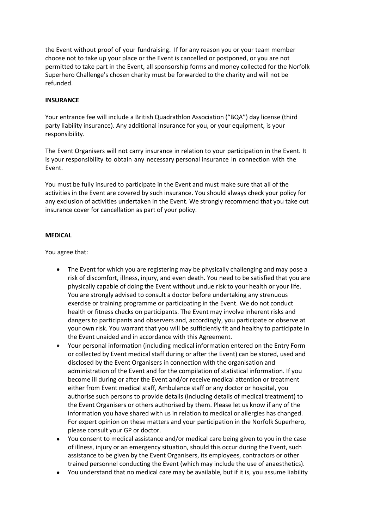the Event without proof of your fundraising. If for any reason you or your team member choose not to take up your place or the Event is cancelled or postponed, or you are not permitted to take part in the Event, all sponsorship forms and money collected for the Norfolk Superhero Challenge's chosen charity must be forwarded to the charity and will not be refunded.

### **INSURANCE**

Your entrance fee will include a British Quadrathlon Association ("BQA") day license (third party liability insurance). Any additional insurance for you, or your equipment, is your responsibility.

The Event Organisers will not carry insurance in relation to your participation in the Event. It is your responsibility to obtain any necessary personal insurance in connection with the Event.

You must be fully insured to participate in the Event and must make sure that all of the activities in the Event are covered by such insurance. You should always check your policy for any exclusion of activities undertaken in the Event. We strongly recommend that you take out insurance cover for cancellation as part of your policy.

# **MEDICAL**

You agree that: 

- The Event for which you are registering may be physically challenging and may pose a risk of discomfort, illness, injury, and even death. You need to be satisfied that you are physically capable of doing the Event without undue risk to your health or your life. You are strongly advised to consult a doctor before undertaking any strenuous exercise or training programme or participating in the Event. We do not conduct health or fitness checks on participants. The Event may involve inherent risks and dangers to participants and observers and, accordingly, you participate or observe at your own risk. You warrant that you will be sufficiently fit and healthy to participate in the Event unaided and in accordance with this Agreement.
- Your personal information (including medical information entered on the Entry Form or collected by Event medical staff during or after the Event) can be stored, used and disclosed by the Event Organisers in connection with the organisation and administration of the Event and for the compilation of statistical information. If you become ill during or after the Event and/or receive medical attention or treatment either from Event medical staff, Ambulance staff or any doctor or hospital, you authorise such persons to provide details (including details of medical treatment) to the Event Organisers or others authorised by them. Please let us know if any of the information you have shared with us in relation to medical or allergies has changed. For expert opinion on these matters and your participation in the Norfolk Superhero, please consult your GP or doctor.
- You consent to medical assistance and/or medical care being given to you in the case of illness, injury or an emergency situation, should this occur during the Event, such assistance to be given by the Event Organisers, its employees, contractors or other trained personnel conducting the Event (which may include the use of anaesthetics).
- You understand that no medical care may be available, but if it is, you assume liability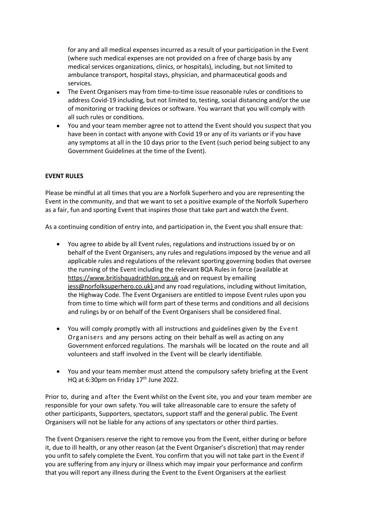for any and all medical expenses incurred as a result of your participation in the Event (where such medical expenses are not provided on a free of charge basis by any medical services organizations, clinics, or hospitals), including, but not limited to ambulance transport, hospital stays, physician, and pharmaceutical goods and services.

- The Event Organisers may from time-to-time issue reasonable rules or conditions to address Covid-19 including, but not limited to, testing, social distancing and/or the use of monitoring or tracking devices or software. You warrant that you will comply with all such rules or conditions.
- You and your team member agree not to attend the Event should you suspect that you have been in contact with anyone with Covid 19 or any of its variants or if you have any symptoms at all in the 10 days prior to the Event (such period being subject to any Government Guidelines at the time of the Event).

## **EVENT RULES**

Please be mindful at all times that you are a Norfolk Superhero and you are representing the Event in the community, and that we want to set a positive example of the Norfolk Superhero as a fair, fun and sporting Event that inspires those that take part and watch the Event.

As a continuing condition of entry into, and participation in, the Event you shall ensure that:

- You agree to abide by all Event rules, regulations and instructions issued by or on behalf of the Event Organisers, any rules and regulations imposed by the venue and all applicable rules and regulations of the relevant sporting governing bodies that oversee the running of the Event including the relevant BQA Rules in force (available at [https://www.britishquadrathlon.org.uk](https://www.britishquadrathlon.org.uk/about-us/56-revision-v1-2/) and on request by emailing [jess@norfolksuperhero.co.uk\)](mailto:jess@norfolksuperhero.co.uk) and any road regulations, including without limitation, the Highway Code. The Event Organisers are entitled to impose Event rules upon you from time to time which will form part of these terms and conditions and all decisions and rulings by or on behalf of the Event Organisers shall be considered final.
- You will comply promptly with all instructions and guidelines given by the Event Organisers and any persons acting on their behalf as well as acting on any Government enforced regulations. The marshals will be located on the route and all volunteers and staff involved in the Event will be clearly identifiable.
- You and your team member must attend the compulsory safety briefing at the Event HQ at 6:30pm on Friday 17<sup>th</sup> June 2022.

Prior to, during and after the Event whilst on the Event site, you and your team member are responsible for your own safety. You will take allreasonable care to ensure the safety of other participants, Supporters, spectators, support staff and the general public. The Event Organisers will not be liable for any actions of any spectators or other third parties.

The Event Organisers reserve the right to remove you from the Event, either during or before it, due to ill health, or any other reason (at the Event Organiser's discretion) that may render you unfit to safely complete the Event. You confirm that you will not take part in the Event if you are suffering from any injury or illness which may impair your performance and confirm that you will report any illness during the Event to the Event Organisers at the earliest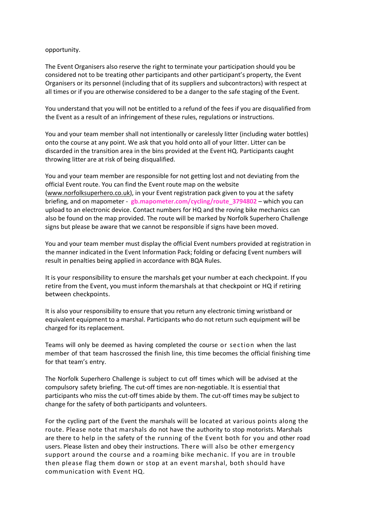opportunity.

The Event Organisers also reserve the right to terminate your participation should you be considered not to be treating other participants and other participant's property, the Event Organisers or its personnel (including that of its suppliers and subcontractors) with respect at all times or if you are otherwise considered to be a danger to the safe staging of the Event.

You understand that you will not be entitled to a refund of the fees if you are disqualified from the Event as a result of an infringement of these rules, regulations or instructions.

You and your team member shall not intentionally or carelessly litter (including water bottles) onto the course at any point. We ask that you hold onto all of your litter. Litter can be discarded in the transition area in the bins provided at the Event HQ. Participants caught throwing litter are at risk of being disqualified.

You and your team member are responsible for not getting lost and not deviating from the official Event route. You can find the Event route map on the website [\(www.norfolksuperhero.co.uk\)](http://www.norfolksuperhero.co.uk/), in your Event registration pack given to you at the safety briefing, and on mapometer - **gb.mapometer.com/cycling/route\_3794802** – which you can upload to an electronic device. Contact numbers for HQ and the roving bike mechanics can also be found on the map provided. The route will be marked by Norfolk Superhero Challenge signs but please be aware that we cannot be responsible if signs have been moved.

You and your team member must display the official Event numbers provided at registration in the manner indicated in the Event Information Pack; folding or defacing Event numbers will result in penalties being applied in accordance with BQA Rules.

It is your responsibility to ensure the marshals get your number at each checkpoint. If you retire from the Event, you must inform themarshals at that checkpoint or HQ if retiring between checkpoints.

It is also your responsibility to ensure that you return any electronic timing wristband or equivalent equipment to a marshal. Participants who do not return such equipment will be charged for its replacement.

Teams will only be deemed as having completed the course or section when the last member of that team hascrossed the finish line, this time becomes the official finishing time for that team's entry.

The Norfolk Superhero Challenge is subject to cut off times which will be advised at the compulsory safety briefing. The cut-off times are non-negotiable. It is essential that participants who miss the cut-off times abide by them. The cut-off times may be subject to change for the safety of both participants and volunteers.

For the cycling part of the Event the marshals will be located at various points along the route. Please note that marshals do not have the authority to stop motorists. Marshals are there to help in the safety of the running of the Event both for you and other road users. Please listen and obey their instructions. There will also be other emergency support around the course and a roaming bike mechanic. If you are in trouble then please flag them down or stop at an event marshal, both should have communication with Event HQ.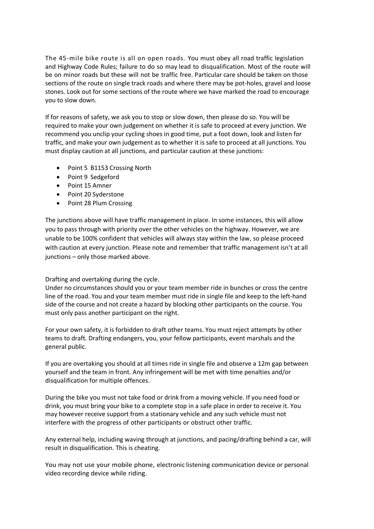The 45-mile bike route is all on open roads. You must obey all road traffic legislation and Highway Code Rules; failure to do so may lead to disqualification. Most of the route will be on minor roads but these will not be traffic free. Particular care should be taken on those sections of the route on single track roads and where there may be pot-holes, gravel and loose stones. Look out for some sections of the route where we have marked the road to encourage you to slow down.

If for reasons of safety, we ask you to stop or slow down, then please do so. You will be required to make your own judgement on whether it is safe to proceed at every junction. We recommend you unclip your cycling shoes in good time, put a foot down, look and listen for traffic, and make your own judgement as to whether it is safe to proceed at all junctions. You must display caution at all junctions, and particular caution at these junctions:

- Point 5 B1153 Crossing North
- Point 9 Sedgeford
- Point 15 Amner
- Point 20 Syderstone
- Point 28 Plum Crossing

The junctions above will have traffic management in place. In some instances, this will allow you to pass through with priority over the other vehicles on the highway. However, we are unable to be 100% confident that vehicles will always stay within the law, so please proceed with caution at every junction. Please note and remember that traffic management isn't at all junctions – only those marked above.

### Drafting and overtaking during the cycle.

Under no circumstances should you or your team member ride in bunches or cross the centre line of the road. You and your team member must ride in single file and keep to the left-hand side of the course and not create a hazard by blocking other participants on the course. You must only pass another participant on the right.

For your own safety, it is forbidden to draft other teams. You must reject attempts by other teams to draft. Drafting endangers, you, your fellow participants, event marshals and the general public.

If you are overtaking you should at all times ride in single file and observe a 12m gap between yourself and the team in front. Any infringement will be met with time penalties and/or disqualification for multiple offences.

During the bike you must not take food or drink from a moving vehicle. If you need food or drink, you must bring your bike to a complete stop in a safe place in order to receive it. You may however receive support from a stationary vehicle and any such vehicle must not interfere with the progress of other participants or obstruct other traffic.

Any external help, including waving through at junctions, and pacing/drafting behind a car, will result in disqualification. This is cheating.

You may not use your mobile phone, electronic listening communication device or personal video recording device while riding.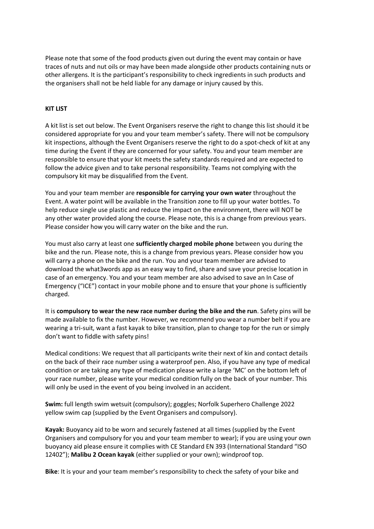Please note that some of the food products given out during the event may contain or have traces of nuts and nut oils or may have been made alongside other products containing nuts or other allergens. It is the participant's responsibility to check ingredients in such products and the organisers shall not be held liable for any damage or injury caused by this.

#### **KIT LIST**

A kit list is set out below. The Event Organisers reserve the right to change this list should it be considered appropriate for you and your team member's safety. There will not be compulsory kit inspections, although the Event Organisers reserve the right to do a spot-check of kit at any time during the Event if they are concerned for your safety. You and your team member are responsible to ensure that your kit meets the safety standards required and are expected to follow the advice given and to take personal responsibility. Teams not complying with the compulsory kit may be disqualified from the Event.

You and your team member are **responsible for carrying your own water** throughout the Event. A water point will be available in the Transition zone to fill up your water bottles. To help reduce single use plastic and reduce the impact on the environment, there will NOT be any other water provided along the course. Please note, this is a change from previous years. Please consider how you will carry water on the bike and the run.

You must also carry at least one **sufficiently charged mobile phone** between you during the bike and the run. Please note, this is a change from previous years. Please consider how you will carry a phone on the bike and the run. You and your team member are advised to download the what3words app as an easy way to find, share and save your precise location in case of an emergency. You and your team member are also advised to save an In Case of Emergency ("ICE") contact in your mobile phone and to ensure that your phone is sufficiently charged.

It is **compulsory to wear the new race number during the bike and the run**. Safety pins will be made available to fix the number. However, we recommend you wear a number belt if you are wearing a tri-suit, want a fast kayak to bike transition, plan to change top for the run or simply don't want to fiddle with safety pins!

Medical conditions: We request that all participants write their next of kin and contact details on the back of their race number using a waterproof pen. Also, if you have any type of medical condition or are taking any type of medication please write a large 'MC' on the bottom left of your race number, please write your medical condition fully on the back of your number. This will only be used in the event of you being involved in an accident.

**Swim:** full length swim wetsuit (compulsory); goggles; Norfolk Superhero Challenge 2022 yellow swim cap (supplied by the Event Organisers and compulsory).

**Kayak:** Buoyancy aid to be worn and securely fastened at all times (supplied by the Event Organisers and compulsory for you and your team member to wear); if you are using your own buoyancy aid please ensure it complies with CE Standard EN 393 (International Standard "ISO 12402"); **Malibu 2 Ocean kayak** (either supplied or your own); windproof top.

**Bike**: It is your and your team member's responsibility to check the safety of your bike and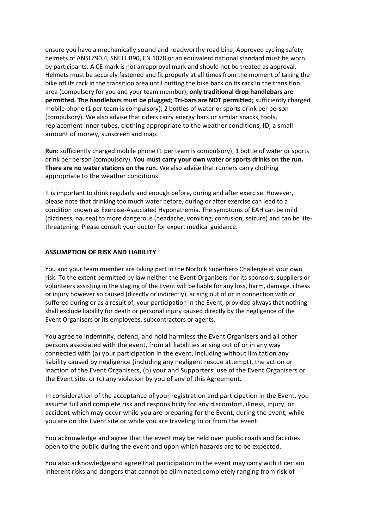ensure you have a mechanically sound and roadworthy road bike; Approved cycling safety helmets of ANSI Z90.4, SNELL B90, EN 1078 or an equivalent national standard must be worn by participants. A CE mark is not an approval mark and should not be treated as approval. Helmets must be securely fastened and fit properly at all times from the moment of taking the bike off its rack in the transition area until putting the bike back on its rack in the transition area (compulsory for you and your team member); **only traditional drop handlebars are permitted. The handlebars must be plugged; Tri-bars are NOT permitted;** sufficiently charged mobile phone (1 per team is compulsory); 2 bottles of water or sports drink per person (compulsory). We also advise that riders carry energy bars or similar snacks, tools, replacement inner tubes, clothing appropriate to the weather conditions, ID, a small amount of money, sunscreen and map.

**Run:** sufficiently charged mobile phone (1 per team is compulsory); 1 bottle of water or sports drink per person (compulsory). **You must carry your own water or sports drinks on the run. There are no water stations on the run.** We also advise that runners carry clothing appropriate to the weather conditions.

It is important to drink regularly and enough before, during and after exercise. However, please note that drinking too much water before, during or after exercise can lead to a condition known as Exercise-Associated Hyponatremia. The symptoms of EAH can be mild (dizziness, nausea) to more dangerous (headache, vomiting, confusion, seizure) and can be lifethreatening. Please consult your doctor for expert medical guidance.

#### **ASSUMPTION OF RISK AND LIABILITY**

You and your team member are taking part in the Norfolk Superhero Challenge at your own risk. To the extent permitted by law neither the Event Organisers nor its sponsors, suppliers or volunteers assisting in the staging of the Event will be liable for any loss, harm, damage, illness or injury however so caused (directly or indirectly), arising out of or in connection with or suffered during or as a result of, your participation in the Event, provided always that nothing shall exclude liability for death or personal injury caused directly by the negligence of the Event Organisers or its employees, subcontractors or agents.

You agree to indemnify, defend, and hold harmless the Event Organisers and all other persons associated with the event, from all liabilities arising out of or in any way connected with (a) your participation in the event, including without limitation any liability caused by negligence (including any negligent rescue attempt), the action or inaction of the Event Organisers, (b) your and Supporters' use of the Event Organisers or the Event site, or (c) any violation by you of any of this Agreement.

In consideration of the acceptance of your registration and participation in the Event, you assume full and complete risk and responsibility for any discomfort, illness, injury, or accident which may occur while you are preparing for the Event, during the event, while you are on the Event site or while you are traveling to or from the event.

You acknowledge and agree that the event may be held over public roads and facilities open to the public during the event and upon which hazards are to be expected.

You also acknowledge and agree that participation in the event may carry with it certain inherent risks and dangers that cannot be eliminated completely ranging from risk of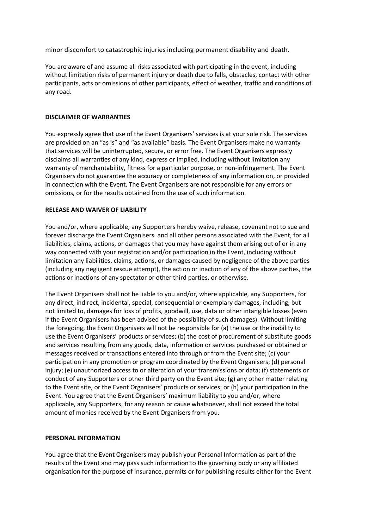minor discomfort to catastrophic injuries including permanent disability and death.

You are aware of and assume all risks associated with participating in the event, including without limitation risks of permanent injury or death due to falls, obstacles, contact with other participants, acts or omissions of other participants, effect of weather, traffic and conditions of any road.

## **DISCLAIMER OF WARRANTIES**

You expressly agree that use of the Event Organisers' services is at your sole risk. The services are provided on an "as is" and "as available" basis. The Event Organisers make no warranty that services will be uninterrupted, secure, or error free. The Event Organisers expressly disclaims all warranties of any kind, express or implied, including without limitation any warranty of merchantability, fitness for a particular purpose, or non-infringement. The Event Organisers do not guarantee the accuracy or completeness of any information on, or provided in connection with the Event. The Event Organisers are not responsible for any errors or omissions, or for the results obtained from the use of such information.

## **RELEASE AND WAIVER OF LIABILITY**

You and/or, where applicable, any Supporters hereby waive, release, covenant not to sue and forever discharge the Event Organisers and all other persons associated with the Event, for all liabilities, claims, actions, or damages that you may have against them arising out of or in any way connected with your registration and/or participation in the Event, including without limitation any liabilities, claims, actions, or damages caused by negligence of the above parties (including any negligent rescue attempt), the action or inaction of any of the above parties, the actions or inactions of any spectator or other third parties, or otherwise.

The Event Organisers shall not be liable to you and/or, where applicable, any Supporters, for any direct, indirect, incidental, special, consequential or exemplary damages, including, but not limited to, damages for loss of profits, goodwill, use, data or other intangible losses (even if the Event Organisers has been advised of the possibility of such damages). Without limiting the foregoing, the Event Organisers will not be responsible for (a) the use or the inability to use the Event Organisers' products or services; (b) the cost of procurement of substitute goods and services resulting from any goods, data, information or services purchased or obtained or messages received or transactions entered into through or from the Event site; (c) your participation in any promotion or program coordinated by the Event Organisers; (d) personal injury; (e) unauthorized access to or alteration of your transmissions or data; (f) statements or conduct of any Supporters or other third party on the Event site; (g) any other matter relating to the Event site, or the Event Organisers' products or services; or (h) your participation in the Event. You agree that the Event Organisers' maximum liability to you and/or, where applicable, any Supporters, for any reason or cause whatsoever, shall not exceed the total amount of monies received by the Event Organisers from you.

### **PERSONAL INFORMATION**

You agree that the Event Organisers may publish your Personal Information as part of the results of the Event and may pass such information to the governing body or any affiliated organisation for the purpose of insurance, permits or for publishing results either for the Event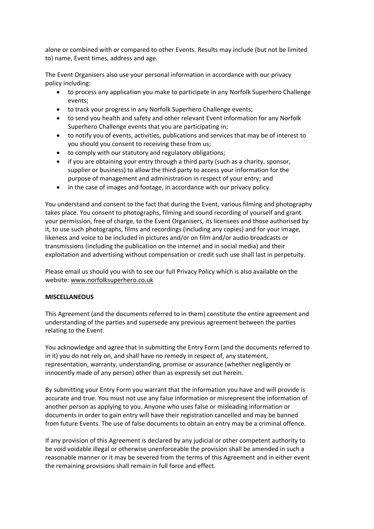alone or combined with or compared to other Events. Results may include (but not be limited to) name, Event times, address and age. 

The Event Organisers also use your personal information in accordance with our privacy policy including: 

- to process any application you make to participate in any Norfolk Superhero Challenge events;
- to track your progress in any Norfolk Superhero Challenge events;
- to send you health and safety and other relevant Event information for any Norfolk Superhero Challenge events that you are participating in;
- to notify you of events, activities, publications and services that may be of interest to you should you consent to receiving these from us;
- to comply with our statutory and regulatory obligations;
- if you are obtaining your entry through a third party (such as a charity, sponsor, supplier or business) to allow the third party to access your information for the purpose of management and administration in respect of your entry; and
- in the case of images and footage, in accordance with our privacy policy.

You understand and consent to the fact that during the Event, various filming and photography takes place. You consent to photographs, filming and sound recording of yourself and grant your permission, free of charge, to the Event Organisers, its licensees and those authorised by it, to use such photographs, films and recordings (including any copies) and for your image, likeness and voice to be included in pictures and/or on film and/or audio broadcasts or transmissions (including the publication on the internet and in social media) and their exploitation and advertising without compensation or credit such use shall last in perpetuity.

Please email us should you wish to see our full Privacy Policy which is also available on the website[: www.norfolksuperhero.co.uk](http://www.norfolksuperhero.co.uk/)

### **MISCELLANEOUS**

This Agreement (and the documents referred to in them) constitute the entire agreement and understanding of the parties and supersede any previous agreement between the parties relating to the Event.

You acknowledge and agree that in submitting the Entry Form (and the documents referred to in it) you do not rely on, and shall have no remedy in respect of, any statement, representation, warranty, understanding, promise or assurance (whether negligently or innocently made of any person) other than as expressly set out herein.

By submitting your Entry Form you warrant that the information you have and will provide is accurate and true. You must not use any false information or misrepresent the information of another person as applying to you. Anyone who uses false or misleading information or documents in order to gain entry will have their registration cancelled and may be banned from future Events. The use of false documents to obtain an entry may be a criminal offence. 

If any provision of this Agreement is declared by any judicial or other competent authority to be void voidable illegal or otherwise unenforceable the provision shall be amended in such a reasonable manner or it may be severed from the terms of this Agreement and in either event the remaining provisions shall remain in full force and effect.